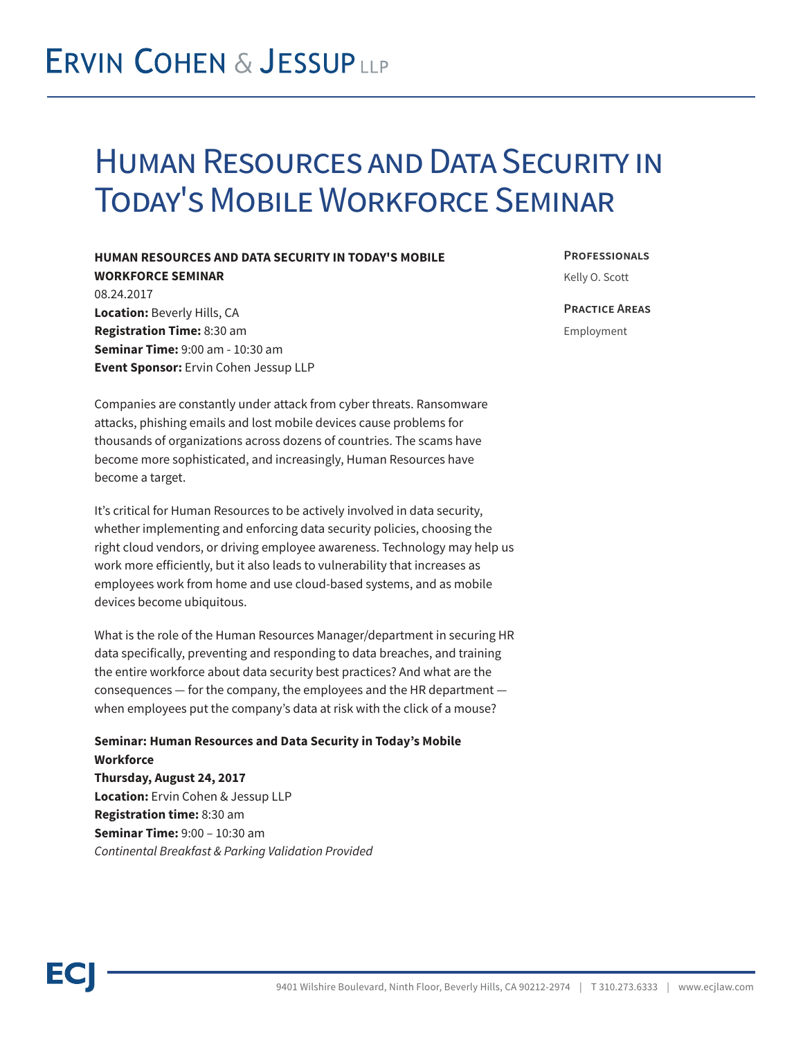## **ERVIN COHEN & JESSUPLLP**

## Human Resources and Data Security in Today's Mobile Workforce Seminar

## **HUMAN RESOURCES AND DATA SECURITY IN TODAY'S MOBILE**

**WORKFORCE SEMINAR** 08.24.2017 **Location:** Beverly Hills, CA **Registration Time:** 8:30 am **Seminar Time:** 9:00 am - 10:30 am **Event Sponsor:** Ervin Cohen Jessup LLP **Professionals**

Kelly O. Scott

**Practice Areas**

Employment

Companies are constantly under attack from cyber threats. Ransomware attacks, phishing emails and lost mobile devices cause problems for thousands of organizations across dozens of countries. The scams have become more sophisticated, and increasingly, Human Resources have become a target.

It's critical for Human Resources to be actively involved in data security, whether implementing and enforcing data security policies, choosing the right cloud vendors, or driving employee awareness. Technology may help us work more efficiently, but it also leads to vulnerability that increases as employees work from home and use cloud-based systems, and as mobile devices become ubiquitous.

What is the role of the Human Resources Manager/department in securing HR data specifically, preventing and responding to data breaches, and training the entire workforce about data security best practices? And what are the consequences — for the company, the employees and the HR department when employees put the company's data at risk with the click of a mouse?

**Seminar: Human Resources and Data Security in Today's Mobile Workforce Thursday, August 24, 2017 Location:** Ervin Cohen & Jessup LLP **Registration time:** 8:30 am **Seminar Time:** 9:00 – 10:30 am *Continental Breakfast & Parking Validation Provided*